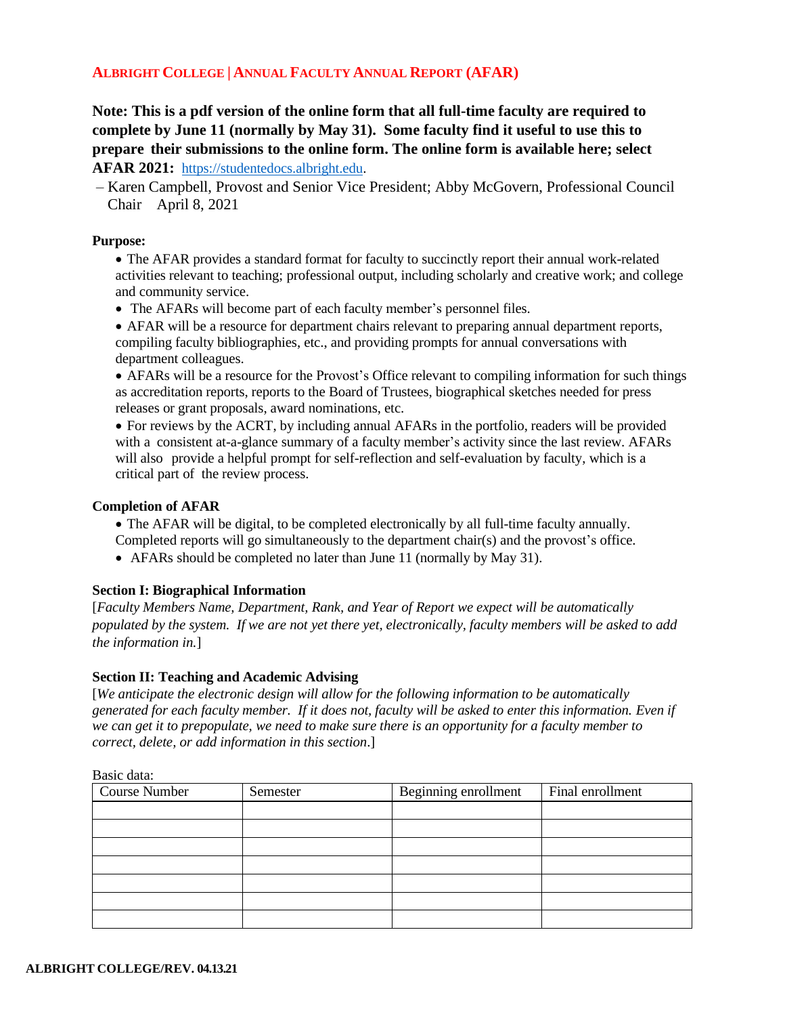# **ALBRIGHT COLLEGE | ANNUAL FACULTY ANNUAL REPORT (AFAR)**

**Note: This is a pdf version of the online form that all full-time faculty are required to complete by June 11 (normally by May 31). Some faculty find it useful to use this to prepare their submissions to the online form. The online form is available here; select AFAR 2021:** [https://studentedocs.albright.edu.](https://studentedocs.albright.edu/)

– Karen Campbell, Provost and Senior Vice President; Abby McGovern, Professional Council Chair April 8, 2021

### **Purpose:**

• The AFAR provides a standard format for faculty to succinctly report their annual work-related activities relevant to teaching; professional output, including scholarly and creative work; and college and community service.

• The AFARs will become part of each faculty member's personnel files.

• AFAR will be a resource for department chairs relevant to preparing annual department reports, compiling faculty bibliographies, etc., and providing prompts for annual conversations with department colleagues.

• AFARs will be a resource for the Provost's Office relevant to compiling information for such things as accreditation reports, reports to the Board of Trustees, biographical sketches needed for press releases or grant proposals, award nominations, etc.

• For reviews by the ACRT, by including annual AFARs in the portfolio, readers will be provided with a consistent at-a-glance summary of a faculty member's activity since the last review. AFARs will also provide a helpful prompt for self-reflection and self-evaluation by faculty, which is a critical part of the review process.

#### **Completion of AFAR**

- The AFAR will be digital, to be completed electronically by all full-time faculty annually.
- Completed reports will go simultaneously to the department chair(s) and the provost's office.
- AFARs should be completed no later than June 11 (normally by May 31).

#### **Section I: Biographical Information**

[*Faculty Members Name, Department, Rank, and Year of Report we expect will be automatically populated by the system. If we are not yet there yet, electronically, faculty members will be asked to add the information in.*]

## **Section II: Teaching and Academic Advising**

[*We anticipate the electronic design will allow for the following information to be automatically* generated for each faculty member. If it does not, faculty will be asked to enter this information. Even if *we can get it to prepopulate, we need to make sure there is an opportunity for a faculty member to correct, delete, or add information in this section*.]

#### Basic data:

| <b>Course Number</b> | Semester | Beginning enrollment | Final enrollment |
|----------------------|----------|----------------------|------------------|
|                      |          |                      |                  |
|                      |          |                      |                  |
|                      |          |                      |                  |
|                      |          |                      |                  |
|                      |          |                      |                  |
|                      |          |                      |                  |
|                      |          |                      |                  |